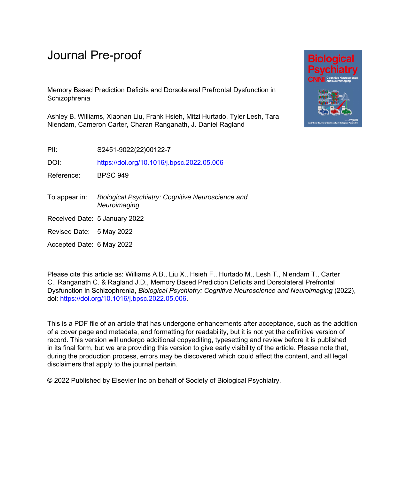Memory Based Prediction Deficits and Dorsolateral Prefrontal Dysfunction in **Schizophrenia** 

Ashley B. Williams, Xiaonan Liu, Frank Hsieh, Mitzi Hurtado, Tyler Lesh, Tara Niendam, Cameron Carter, Charan Ranganath, J. Daniel Ragland

PII: S2451-9022(22)00122-7

DOI: <https://doi.org/10.1016/j.bpsc.2022.05.006>

Reference: BPSC 949

- To appear in: Biological Psychiatry: Cognitive Neuroscience and **Neuroimaging**
- Received Date: 5 January 2022
- Revised Date: 5 May 2022
- Accepted Date: 6 May 2022

Please cite this article as: Williams A.B., Liu X., Hsieh F., Hurtado M., Lesh T., Niendam T., Carter C., Ranganath C. & Ragland J.D., Memory Based Prediction Deficits and Dorsolateral Prefrontal Dysfunction in Schizophrenia, *Biological Psychiatry: Cognitive Neuroscience and Neuroimaging* (2022), doi: [https://doi.org/10.1016/j.bpsc.2022.05.006.](https://doi.org/10.1016/j.bpsc.2022.05.006)

This is a PDF file of an article that has undergone enhancements after acceptance, such as the addition of a cover page and metadata, and formatting for readability, but it is not yet the definitive version of record. This version will undergo additional copyediting, typesetting and review before it is published in its final form, but we are providing this version to give early visibility of the article. Please note that, during the production process, errors may be discovered which could affect the content, and all legal disclaimers that apply to the journal pertain.

© 2022 Published by Elsevier Inc on behalf of Society of Biological Psychiatry.

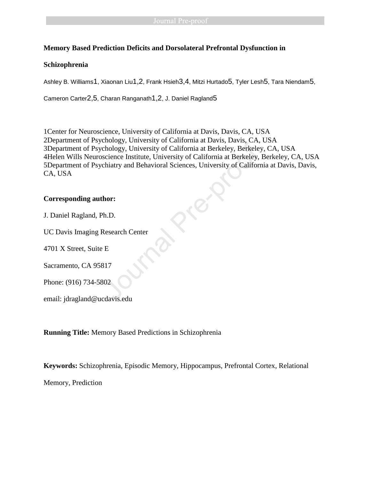# **Memory Based Prediction Deficits and Dorsolateral Prefrontal Dysfunction in**

# **Schizophrenia**

Ashley B. Williams1, Xiaonan Liu1,2, Frank Hsieh3,4, Mitzi Hurtado5, Tyler Lesh5, Tara Niendam5,

Cameron Carter2,5, Charan Ranganath1,2, J. Daniel Ragland5

1Center for Neuroscience, University of California at Davis, Davis, CA, USA 2Department of Psychology, University of California at Davis, Davis, CA, USA 3Department of Psychology, University of California at Berkeley, Berkeley, CA, USA 4Helen Wills Neuroscience Institute, University of California at Berkeley, Berkeley, CA, USA 5Department of Psychiatry and Behavioral Sciences, University of California at Davis, Davis, CA, USA Experience University of California at Berkeley, Berkeley<br>Chology, University of California at Berkeley, Berkeley<br>science Institute, University of California at Berkeley, Berkeley<br>chiatry and Behavioral Sciences, Universit

## **Corresponding author:**

J. Daniel Ragland, Ph.D.

UC Davis Imaging Research Center

4701 X Street, Suite E

Sacramento, CA 95817

Phone: (916) 734-5802

email: jdragland@ucdavis.edu

**Running Title:** Memory Based Predictions in Schizophrenia

**Keywords:** Schizophrenia, Episodic Memory, Hippocampus, Prefrontal Cortex, Relational Memory, Prediction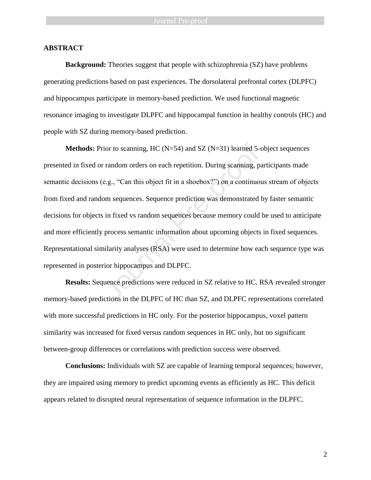#### **ABSTRACT**

**Background:** Theories suggest that people with schizophrenia (SZ) have problems generating predictions based on past experiences. The dorsolateral prefrontal cortex (DLPFC) and hippocampus participate in memory-based prediction. We used functional magnetic resonance imaging to investigate DLPFC and hippocampal function in healthy controls (HC) and people with SZ during memory-based prediction.

**Methods:** Prior to scanning, HC ( $N=54$ ) and SZ ( $N=31$ ) learned 5-object sequences presented in fixed or random orders on each repetition. During scanning, participants made semantic decisions (e.g., "Can this object fit in a shoebox?") on a continuous stream of objects from fixed and random sequences. Sequence prediction was demonstrated by faster semantic decisions for objects in fixed vs random sequences because memory could be used to anticipate and more efficiently process semantic information about upcoming objects in fixed sequences. Representational similarity analyses (RSA) were used to determine how each sequence type was represented in posterior hippocampus and DLPFC. ior to scanning, HC (N=54) and SZ (N=31) learned 5-<br>
r random orders on each repetition. During scanning, p<br>
e.g., "Can this object fit in a shoebox?") on a continuo<br>
om sequences. Sequence prediction was demonstrated<br>
in

**Results:** Sequence predictions were reduced in SZ relative to HC. RSA revealed stronger memory-based predictions in the DLPFC of HC than SZ, and DLPFC representations correlated with more successful predictions in HC only. For the posterior hippocampus, voxel pattern similarity was increased for fixed versus random sequences in HC only, but no significant between-group differences or correlations with prediction success were observed.

**Conclusions:** Individuals with SZ are capable of learning temporal sequences; however, they are impaired using memory to predict upcoming events as efficiently as HC. This deficit appears related to disrupted neural representation of sequence information in the DLPFC.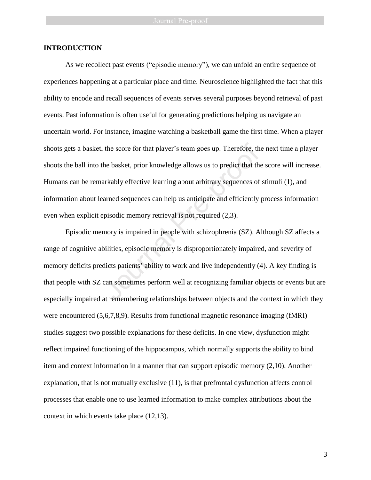#### **INTRODUCTION**

As we recollect past events ("episodic memory"), we can unfold an entire sequence of experiences happening at a particular place and time. Neuroscience highlighted the fact that this ability to encode and recall sequences of events serves several purposes beyond retrieval of past events. Past information is often useful for generating predictions helping us navigate an uncertain world. For instance, imagine watching a basketball game the first time. When a player shoots gets a basket, the score for that player's team goes up. Therefore, the next time a player shoots the ball into the basket, prior knowledge allows us to predict that the score will increase. Humans can be remarkably effective learning about arbitrary sequences of stimuli (1), and information about learned sequences can help us anticipate and efficiently process information even when explicit episodic memory retrieval is not required (2,3). the score for that player's team goes up. Therefore, th<br>he basket, prior knowledge allows us to predict that the<br>arkably effective learning about arbitrary sequences of<br>arned sequences can help us anticipate and efficientl

Episodic memory is impaired in people with schizophrenia (SZ). Although SZ affects a range of cognitive abilities, episodic memory is disproportionately impaired, and severity of memory deficits predicts patients' ability to work and live independently (4). A key finding is that people with SZ can sometimes perform well at recognizing familiar objects or events but are especially impaired at remembering relationships between objects and the context in which they were encountered (5,6,7,8,9). Results from functional magnetic resonance imaging (fMRI) studies suggest two possible explanations for these deficits. In one view, dysfunction might reflect impaired functioning of the hippocampus, which normally supports the ability to bind item and context information in a manner that can support episodic memory (2,10). Another explanation, that is not mutually exclusive (11), is that prefrontal dysfunction affects control processes that enable one to use learned information to make complex attributions about the context in which events take place (12,13).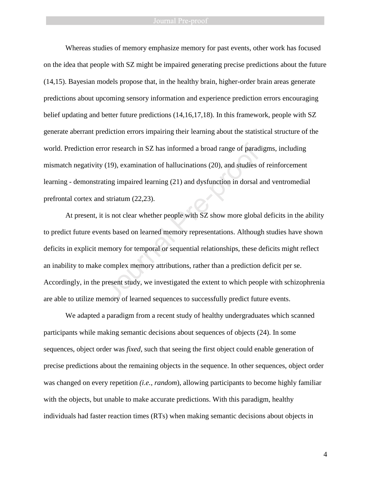Whereas studies of memory emphasize memory for past events, other work has focused on the idea that people with SZ might be impaired generating precise predictions about the future (14,15). Bayesian models propose that, in the healthy brain, higher-order brain areas generate predictions about upcoming sensory information and experience prediction errors encouraging belief updating and better future predictions (14,16,17,18). In this framework, people with SZ generate aberrant prediction errors impairing their learning about the statistical structure of the world. Prediction error research in SZ has informed a broad range of paradigms, including mismatch negativity (19), examination of hallucinations (20), and studies of reinforcement learning - demonstrating impaired learning (21) and dysfunction in dorsal and ventromedial prefrontal cortex and striatum (22,23).

At present, it is not clear whether people with SZ show more global deficits in the ability to predict future events based on learned memory representations. Although studies have shown deficits in explicit memory for temporal or sequential relationships, these deficits might reflect an inability to make complex memory attributions, rather than a prediction deficit per se. Accordingly, in the present study, we investigated the extent to which people with schizophrenia are able to utilize memory of learned sequences to successfully predict future events. ror research in SZ has informed a broad range of parad (19), examination of hallucinations (20), and studies c<br>ting impaired learning (21) and dysfunction in dorsal a<br>d striatum (22,23).<br>is not clear whether people with SZ

We adapted a paradigm from a recent study of healthy undergraduates which scanned participants while making semantic decisions about sequences of objects (24). In some sequences, object order was *fixed*, such that seeing the first object could enable generation of precise predictions about the remaining objects in the sequence. In other sequences, object order was changed on every repetition *(i.e., random*), allowing participants to become highly familiar with the objects, but unable to make accurate predictions. With this paradigm, healthy individuals had faster reaction times (RTs) when making semantic decisions about objects in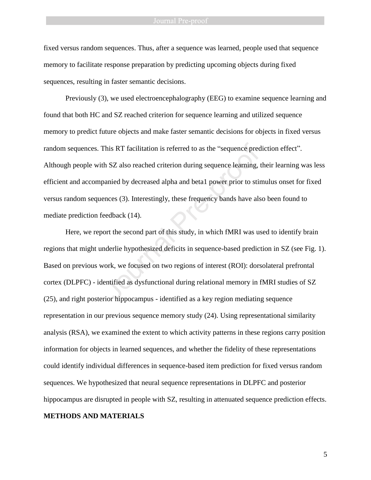fixed versus random sequences. Thus, after a sequence was learned, people used that sequence memory to facilitate response preparation by predicting upcoming objects during fixed sequences, resulting in faster semantic decisions.

Previously (3), we used electroencephalography (EEG) to examine sequence learning and found that both HC and SZ reached criterion for sequence learning and utilized sequence memory to predict future objects and make faster semantic decisions for objects in fixed versus random sequences. This RT facilitation is referred to as the "sequence prediction effect". Although people with SZ also reached criterion during sequence learning, their learning was less efficient and accompanied by decreased alpha and beta1 power prior to stimulus onset for fixed versus random sequences (3). Interestingly, these frequency bands have also been found to mediate prediction feedback (14). This RT facilitation is referred to as the "sequence pred<br>th SZ also reached criterion during sequence learning, to<br>panied by decreased alpha and beta1 power prior to stin<br>ences (3). Interestingly, these frequency bands ha

Here, we report the second part of this study, in which fMRI was used to identify brain regions that might underlie hypothesized deficits in sequence-based prediction in SZ (see Fig. 1). Based on previous work, we focused on two regions of interest (ROI): dorsolateral prefrontal cortex (DLPFC) - identified as dysfunctional during relational memory in fMRI studies of SZ (25), and right posterior hippocampus - identified as a key region mediating sequence representation in our previous sequence memory study (24). Using representational similarity analysis (RSA), we examined the extent to which activity patterns in these regions carry position information for objects in learned sequences, and whether the fidelity of these representations could identify individual differences in sequence-based item prediction for fixed versus random sequences. We hypothesized that neural sequence representations in DLPFC and posterior hippocampus are disrupted in people with SZ, resulting in attenuated sequence prediction effects.

## **METHODS AND MATERIALS**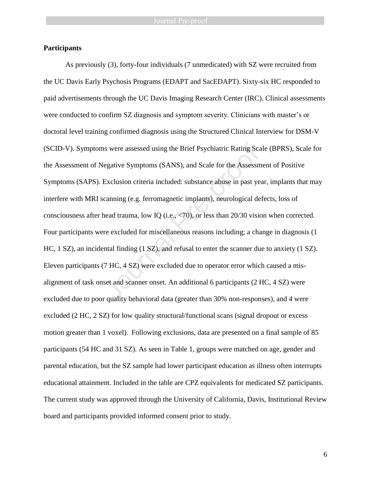#### **Participants**

As previously (3), forty-four individuals (7 unmedicated) with SZ were recruited from the UC Davis Early Psychosis Programs (EDAPT and SacEDAPT). Sixty-six HC responded to paid advertisements through the UC Davis Imaging Research Center (IRC). Clinical assessments were conducted to confirm SZ diagnosis and symptom severity. Clinicians with master's or doctoral level training confirmed diagnosis using the Structured Clinical Interview for DSM-V (SCID-V). Symptoms were assessed using the Brief Psychiatric Rating Scale (BPRS), Scale for the Assessment of Negative Symptoms (SANS), and Scale for the Assessment of Positive Symptoms (SAPS). Exclusion criteria included: substance abuse in past year, implants that may interfere with MRI scanning (e.g. ferromagnetic implants), neurological defects, loss of consciousness after head trauma, low IQ (i.e., <70), or less than 20/30 vision when corrected. Four participants were excluded for miscellaneous reasons including; a change in diagnosis (1 HC, 1 SZ), an incidental finding (1 SZ), and refusal to enter the scanner due to anxiety (1 SZ). Eleven participants (7 HC, 4 SZ) were excluded due to operator error which caused a misalignment of task onset and scanner onset. An additional 6 participants (2 HC, 4 SZ) were excluded due to poor quality behavioral data (greater than 30% non-responses), and 4 were excluded (2 HC, 2 SZ) for low quality structural/functional scans (signal dropout or excess motion greater than 1 voxel). Following exclusions, data are presented on a final sample of 85 participants (54 HC and 31 SZ). As seen in Table 1, groups were matched on age, gender and parental education, but the SZ sample had lower participant education as illness often interrupts educational attainment. Included in the table are CPZ equivalents for medicated SZ participants. The current study was approved through the University of California, Davis, Institutional Review board and participants provided informed consent prior to study. ns were assessed using the Brief Psychiatric Rating Scale<br>
Egative Symptoms (SANS), and Scale for the Assessm<br>
Exclusion criteria included: substance abuse in past ye<br>
canning (e.g. ferromagnetic implants), neurological de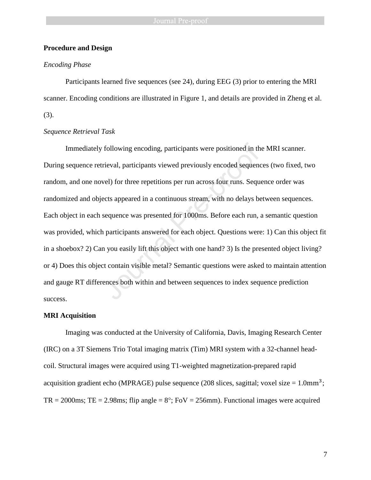## **Procedure and Design**

## *Encoding Phase*

Participants learned five sequences (see 24), during EEG (3) prior to entering the MRI scanner. Encoding conditions are illustrated in Figure 1, and details are provided in Zheng et al. (3).

#### *Sequence Retrieval Task*

Immediately following encoding, participants were positioned in the MRI scanner. During sequence retrieval, participants viewed previously encoded sequences (two fixed, two random, and one novel) for three repetitions per run across four runs. Sequence order was randomized and objects appeared in a continuous stream, with no delays between sequences. Each object in each sequence was presented for 1000ms. Before each run, a semantic question was provided, which participants answered for each object. Questions were: 1) Can this object fit in a shoebox? 2) Can you easily lift this object with one hand? 3) Is the presented object living? or 4) Does this object contain visible metal? Semantic questions were asked to maintain attention and gauge RT differences both within and between sequences to index sequence prediction success. following encoding, participants were positioned in th<br>rieval, participants viewed previously encoded sequence<br>wel) for three repetitions per run across four runs. Sequence<br>sequence was presented for 1000ms. Before each ru

#### **MRI Acquisition**

Imaging was conducted at the University of California, Davis, Imaging Research Center (IRC) on a 3T Siemens Trio Total imaging matrix (Tim) MRI system with a 32-channel headcoil. Structural images were acquired using T1-weighted magnetization-prepared rapid acquisition gradient echo (MPRAGE) pulse sequence (208 slices, sagittal; voxel size =  $1.0$ mm<sup>3</sup>;  $TR = 2000 \text{ms}$ ;  $TE = 2.98 \text{ms}$ ;  $flip$  angle  $= 8^\circ$ ;  $FoV = 256 \text{mm}$ ). Functional images were acquired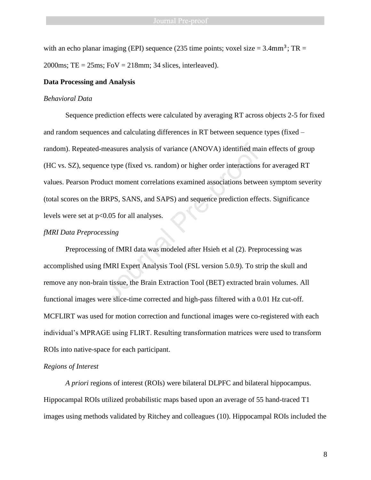with an echo planar imaging (EPI) sequence (235 time points; voxel size =  $3.4$ mm<sup>3</sup>; TR = 2000ms; TE =  $25$ ms; FoV =  $218$ mm; 34 slices, interleaved).

#### **Data Processing and Analysis**

#### *Behavioral Data*

Sequence prediction effects were calculated by averaging RT across objects 2-5 for fixed and random sequences and calculating differences in RT between sequence types (fixed – random). Repeated-measures analysis of variance (ANOVA) identified main effects of group (HC vs. SZ), sequence type (fixed vs. random) or higher order interactions for averaged RT values. Pearson Product moment correlations examined associations between symptom severity (total scores on the BRPS, SANS, and SAPS) and sequence prediction effects. Significance levels were set at p<0.05 for all analyses. measures analysis of variance (ANOVA) identified ma<br>ce type (fixed vs. random) or higher order interactions<br>duct moment correlations examined associations betwe<br>BRPS, SANS, and SAPS) and sequence prediction effe<br>0.05 for a

#### *fMRI Data Preprocessing*

Preprocessing of fMRI data was modeled after Hsieh et al (2). Preprocessing was accomplished using fMRI Expert Analysis Tool (FSL version 5.0.9). To strip the skull and remove any non-brain tissue, the Brain Extraction Tool (BET) extracted brain volumes. All functional images were slice-time corrected and high-pass filtered with a 0.01 Hz cut-off. MCFLIRT was used for motion correction and functional images were co-registered with each individual's MPRAGE using FLIRT. Resulting transformation matrices were used to transform ROIs into native-space for each participant.

#### *Regions of Interest*

*A priori* regions of interest (ROIs) were bilateral DLPFC and bilateral hippocampus. Hippocampal ROIs utilized probabilistic maps based upon an average of 55 hand-traced T1 images using methods validated by Ritchey and colleagues (10). Hippocampal ROIs included the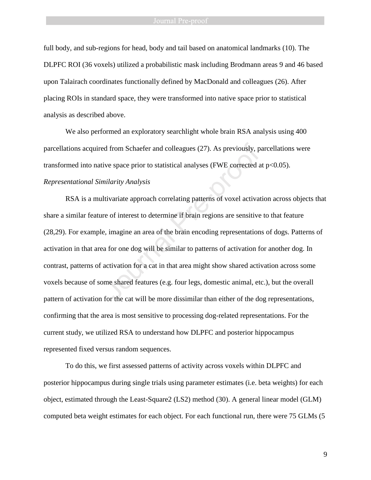full body, and sub-regions for head, body and tail based on anatomical landmarks (10). The DLPFC ROI (36 voxels) utilized a probabilistic mask including Brodmann areas 9 and 46 based upon Talairach coordinates functionally defined by MacDonald and colleagues (26). After placing ROIs in standard space, they were transformed into native space prior to statistical analysis as described above.

We also performed an exploratory searchlight whole brain RSA analysis using 400 parcellations acquired from Schaefer and colleagues (27). As previously, parcellations were transformed into native space prior to statistical analyses (FWE corrected at  $p<0.05$ ).

## *Representational Similarity Analysis*

RSA is a multivariate approach correlating patterns of voxel activation across objects that share a similar feature of interest to determine if brain regions are sensitive to that feature (28,29). For example, imagine an area of the brain encoding representations of dogs. Patterns of activation in that area for one dog will be similar to patterns of activation for another dog. In contrast, patterns of activation for a cat in that area might show shared activation across some voxels because of some shared features (e.g. four legs, domestic animal, etc.), but the overall pattern of activation for the cat will be more dissimilar than either of the dog representations, confirming that the area is most sensitive to processing dog-related representations. For the current study, we utilized RSA to understand how DLPFC and posterior hippocampus represented fixed versus random sequences. Exercise and colleagues (27). As previously, p<br>ive space prior to statistical analyses (FWE corrected a<br>milarity Analysis<br>ltivariate approach correlating patterns of voxel activat<br>re of interest to determine if brain regio

To do this, we first assessed patterns of activity across voxels within DLPFC and posterior hippocampus during single trials using parameter estimates (i.e. beta weights) for each object, estimated through the Least-Square2 (LS2) method (30). A general linear model (GLM) computed beta weight estimates for each object. For each functional run, there were 75 GLMs (5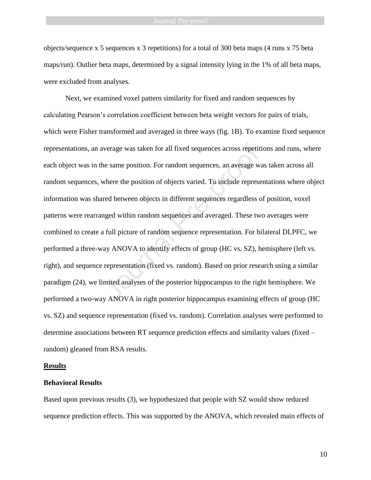objects/sequence x 5 sequences x 3 repetitions) for a total of 300 beta maps (4 runs x 75 beta maps/run). Outlier beta maps, determined by a signal intensity lying in the 1% of all beta maps, were excluded from analyses.

Next, we examined voxel pattern similarity for fixed and random sequences by calculating Pearson's correlation coefficient between beta weight vectors for pairs of trials, which were Fisher transformed and averaged in three ways (fig. 1B). To examine fixed sequence representations, an average was taken for all fixed sequences across repetitions and runs, where each object was in the same position. For random sequences, an average was taken across all random sequences, where the position of objects varied. To include representations where object information was shared between objects in different sequences regardless of position, voxel patterns were rearranged within random sequences and averaged. These two averages were combined to create a full picture of random sequence representation. For bilateral DLPFC, we performed a three-way ANOVA to identify effects of group (HC vs. SZ), hemisphere (left vs. right), and sequence representation (fixed vs. random). Based on prior research using a similar paradigm (24), we limited analyses of the posterior hippocampus to the right hemisphere. We performed a two-way ANOVA in right posterior hippocampus examining effects of group (HC vs. SZ) and sequence representation (fixed vs. random). Correlation analyses were performed to determine associations between RT sequence prediction effects and similarity values (fixed – random) gleaned from RSA results. iverage was taken for all fixed sequences across repetit<br>ne same position. For random sequences, an average w<br>where the position of objects varied. To include represe<br>red between objects in different sequences regardless c

#### **Results**

#### **Behavioral Results**

Based upon previous results (3), we hypothesized that people with SZ would show reduced sequence prediction effects. This was supported by the ANOVA, which revealed main effects of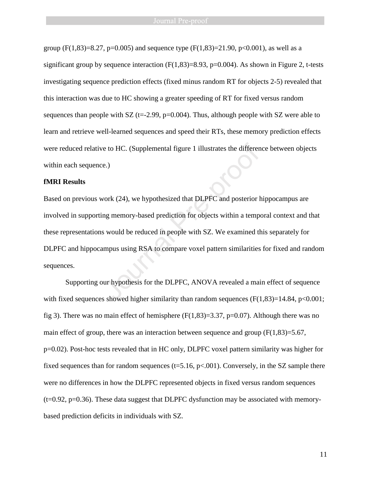group (F(1,83)=8.27, p=0.005) and sequence type (F(1,83)=21.90, p<0.001), as well as a significant group by sequence interaction  $(F(1,83)=8.93, p=0.004)$ . As shown in Figure 2, t-tests investigating sequence prediction effects (fixed minus random RT for objects 2-5) revealed that this interaction was due to HC showing a greater speeding of RT for fixed versus random sequences than people with SZ (t=-2.99, p=0.004). Thus, although people with SZ were able to learn and retrieve well-learned sequences and speed their RTs, these memory prediction effects were reduced relative to HC. (Supplemental figure 1 illustrates the difference between objects within each sequence.)

#### **fMRI Results**

Based on previous work (24), we hypothesized that DLPFC and posterior hippocampus are involved in supporting memory-based prediction for objects within a temporal context and that these representations would be reduced in people with SZ. We examined this separately for DLPFC and hippocampus using RSA to compare voxel pattern similarities for fixed and random sequences. e to HC. (Supplemental figure 1 illustrates the differen<br>
e.)<br>
vork (24), we hypothesized that DLPFC and posterior b<br>
ng memory-based prediction for objects within a tempe<br>
s would be reduced in people with SZ. We examined

Supporting our hypothesis for the DLPFC, ANOVA revealed a main effect of sequence with fixed sequences showed higher similarity than random sequences  $(F(1,83)=14.84, p<0.001;$ fig 3). There was no main effect of hemisphere ( $F(1,83)=3.37$ ,  $p=0.07$ ). Although there was no main effect of group, there was an interaction between sequence and group  $(F(1,83)=5.67)$ , p=0.02). Post-hoc tests revealed that in HC only, DLPFC voxel pattern similarity was higher for fixed sequences than for random sequences ( $t=5.16$ ,  $p<0.001$ ). Conversely, in the SZ sample there were no differences in how the DLPFC represented objects in fixed versus random sequences (t=0.92, p=0.36). These data suggest that DLPFC dysfunction may be associated with memorybased prediction deficits in individuals with SZ.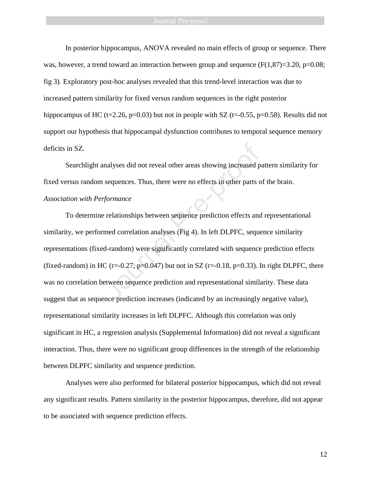In posterior hippocampus, ANOVA revealed no main effects of group or sequence. There was, however, a trend toward an interaction between group and sequence  $(F(1,87)=3.20, p=0.08;$ fig 3). Exploratory post-hoc analyses revealed that this trend-level interaction was due to increased pattern similarity for fixed versus random sequences in the right posterior hippocampus of HC (t=2.26, p=0.03) but not in people with SZ (t=-0.55, p=0.58). Results did not support our hypothesis that hippocampal dysfunction contributes to temporal sequence memory deficits in SZ.

Searchlight analyses did not reveal other areas showing increased pattern similarity for fixed versus random sequences. Thus, there were no effects in other parts of the brain. *Association with Performance*

To determine relationships between sequence prediction effects and representational similarity, we performed correlation analyses (Fig 4). In left DLPFC, sequence similarity representations (fixed-random) were significantly correlated with sequence prediction effects (fixed-random) in HC (r=-0.27, p=0.047) but not in SZ (r=-0.18, p=0.33). In right DLPFC, there was no correlation between sequence prediction and representational similarity. These data suggest that as sequence prediction increases (indicated by an increasingly negative value), representational similarity increases in left DLPFC. Although this correlation was only significant in HC, a regression analysis (Supplemental Information) did not reveal a significant interaction. Thus, there were no significant group differences in the strength of the relationship between DLPFC similarity and sequence prediction. analyses did not reveal other areas showing increased p<br>sequences. Thus, there were no effects in other parts consequence<br>relationships between sequence prediction effects and<br>med correlation analyses (Fig 4). In left DLP

Analyses were also performed for bilateral posterior hippocampus, which did not reveal any significant results. Pattern similarity in the posterior hippocampus, therefore, did not appear to be associated with sequence prediction effects.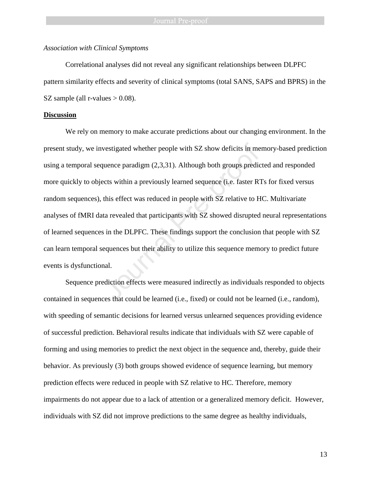#### *Association with Clinical Symptoms*

Correlational analyses did not reveal any significant relationships between DLPFC pattern similarity effects and severity of clinical symptoms (total SANS, SAPS and BPRS) in the SZ sample (all r-values  $> 0.08$ ).

#### **Discussion**

We rely on memory to make accurate predictions about our changing environment. In the present study, we investigated whether people with SZ show deficits in memory-based prediction using a temporal sequence paradigm (2,3,31). Although both groups predicted and responded more quickly to objects within a previously learned sequence (i.e. faster RTs for fixed versus random sequences), this effect was reduced in people with SZ relative to HC. Multivariate analyses of fMRI data revealed that participants with SZ showed disrupted neural representations of learned sequences in the DLPFC. These findings support the conclusion that people with SZ can learn temporal sequences but their ability to utilize this sequence memory to predict future events is dysfunctional. westigated whether people with SZ show deficits in me<br>quence paradigm (2,3,31). Although both groups predic<br>ects within a previously learned sequence (i.e. faster R'<br>this effect was reduced in people with SZ relative to H<br>

Sequence prediction effects were measured indirectly as individuals responded to objects contained in sequences that could be learned (i.e., fixed) or could not be learned (i.e., random), with speeding of semantic decisions for learned versus unlearned sequences providing evidence of successful prediction. Behavioral results indicate that individuals with SZ were capable of forming and using memories to predict the next object in the sequence and, thereby, guide their behavior. As previously (3) both groups showed evidence of sequence learning, but memory prediction effects were reduced in people with SZ relative to HC. Therefore, memory impairments do not appear due to a lack of attention or a generalized memory deficit. However, individuals with SZ did not improve predictions to the same degree as healthy individuals,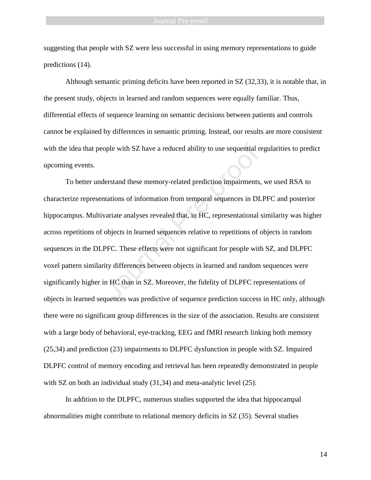suggesting that people with SZ were less successful in using memory representations to guide predictions (14).

Although semantic priming deficits have been reported in SZ (32,33), it is notable that, in the present study, objects in learned and random sequences were equally familiar. Thus, differential effects of sequence learning on semantic decisions between patients and controls cannot be explained by differences in semantic priming. Instead, our results are more consistent with the idea that people with SZ have a reduced ability to use sequential regularities to predict upcoming events.

To better understand these memory-related prediction impairments, we used RSA to characterize representations of information from temporal sequences in DLPFC and posterior hippocampus. Multivariate analyses revealed that, in HC, representational similarity was higher across repetitions of objects in learned sequences relative to repetitions of objects in random sequences in the DLPFC. These effects were not significant for people with SZ, and DLPFC voxel pattern similarity differences between objects in learned and random sequences were significantly higher in HC than in SZ. Moreover, the fidelity of DLPFC representations of objects in learned sequences was predictive of sequence prediction success in HC only, although there were no significant group differences in the size of the association. Results are consistent with a large body of behavioral, eye-tracking, EEG and fMRI research linking both memory (25,34) and prediction (23) impairments to DLPFC dysfunction in people with SZ. Impaired DLPFC control of memory encoding and retrieval has been repeatedly demonstrated in people with SZ on both an individual study (31,34) and meta-analytic level (25). ople with SZ have a reduced ability to use sequential relatestand these memory-related prediction impairments,<br>that and these memory-related prediction impairments,<br>that ions of information from temporal sequences in DL<br>va

In addition to the DLPFC, numerous studies supported the idea that hippocampal abnormalities might contribute to relational memory deficits in SZ (35). Several studies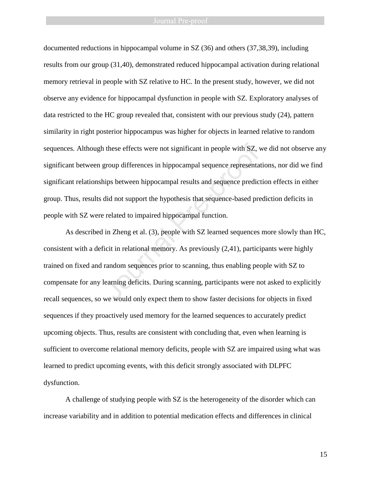documented reductions in hippocampal volume in SZ (36) and others (37,38,39), including results from our group (31,40), demonstrated reduced hippocampal activation during relational memory retrieval in people with SZ relative to HC. In the present study, however, we did not observe any evidence for hippocampal dysfunction in people with SZ. Exploratory analyses of data restricted to the HC group revealed that, consistent with our previous study (24), pattern similarity in right posterior hippocampus was higher for objects in learned relative to random sequences. Although these effects were not significant in people with SZ, we did not observe any significant between group differences in hippocampal sequence representations, nor did we find significant relationships between hippocampal results and sequence prediction effects in either group. Thus, results did not support the hypothesis that sequence-based prediction deficits in people with SZ were related to impaired hippocampal function. It these effects were not significant in people with SZ, v<br>group differences in hippocampal sequence representation<br>in the set of the proof of the sequence-based pre-<br>related to impaired hippocampal function.<br>In Zheng et a

As described in Zheng et al. (3), people with SZ learned sequences more slowly than HC, consistent with a deficit in relational memory. As previously (2,41), participants were highly trained on fixed and random sequences prior to scanning, thus enabling people with SZ to compensate for any learning deficits. During scanning, participants were not asked to explicitly recall sequences, so we would only expect them to show faster decisions for objects in fixed sequences if they proactively used memory for the learned sequences to accurately predict upcoming objects. Thus, results are consistent with concluding that, even when learning is sufficient to overcome relational memory deficits, people with SZ are impaired using what was learned to predict upcoming events, with this deficit strongly associated with DLPFC dysfunction.

A challenge of studying people with SZ is the heterogeneity of the disorder which can increase variability and in addition to potential medication effects and differences in clinical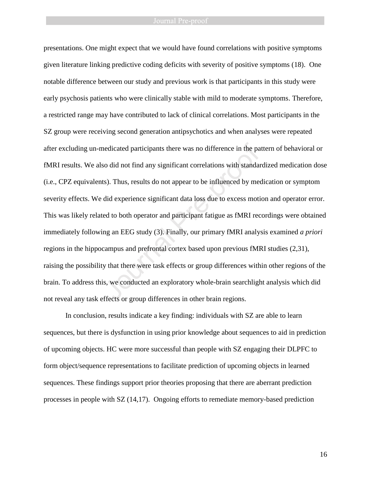presentations. One might expect that we would have found correlations with positive symptoms given literature linking predictive coding deficits with severity of positive symptoms (18). One notable difference between our study and previous work is that participants in this study were early psychosis patients who were clinically stable with mild to moderate symptoms. Therefore, a restricted range may have contributed to lack of clinical correlations. Most participants in the SZ group were receiving second generation antipsychotics and when analyses were repeated after excluding un-medicated participants there was no difference in the pattern of behavioral or fMRI results. We also did not find any significant correlations with standardized medication dose (i.e., CPZ equivalents). Thus, results do not appear to be influenced by medication or symptom severity effects. We did experience significant data loss due to excess motion and operator error. This was likely related to both operator and participant fatigue as fMRI recordings were obtained immediately following an EEG study (3). Finally, our primary fMRI analysis examined *a priori* regions in the hippocampus and prefrontal cortex based upon previous fMRI studies (2,31), raising the possibility that there were task effects or group differences within other regions of the brain. To address this, we conducted an exploratory whole-brain searchlight analysis which did not reveal any task effects or group differences in other brain regions. nedicated participants there was no difference in the pa<br>so did not find any significant correlations with standar<br>ts). Thus, results do not appear to be influenced by med<br>did experience significant data loss due to excess

In conclusion, results indicate a key finding: individuals with SZ are able to learn sequences, but there is dysfunction in using prior knowledge about sequences to aid in prediction of upcoming objects. HC were more successful than people with SZ engaging their DLPFC to form object/sequence representations to facilitate prediction of upcoming objects in learned sequences. These findings support prior theories proposing that there are aberrant prediction processes in people with SZ (14,17). Ongoing efforts to remediate memory-based prediction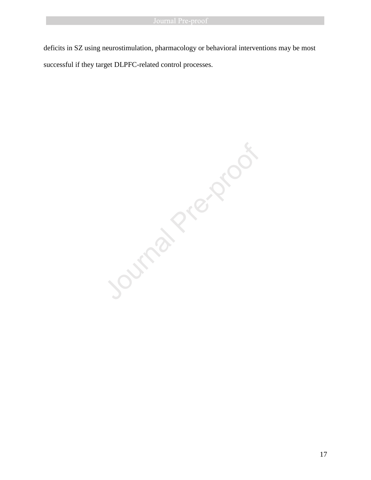deficits in SZ using neurostimulation, pharmacology or behavioral interventions may be most successful if they target DLPFC-related control processes.

Journal Pre-proof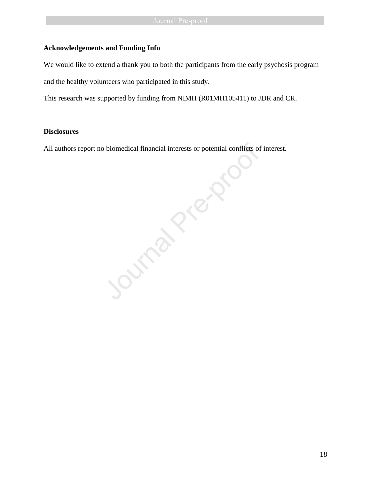# **Acknowledgements and Funding Info**

We would like to extend a thank you to both the participants from the early psychosis program and the healthy volunteers who participated in this study.

This research was supported by funding from NIMH (R01MH105411) to JDR and CR.

## **Disclosures**

All authors report no biomedical financial interests or potential conflicts of interest.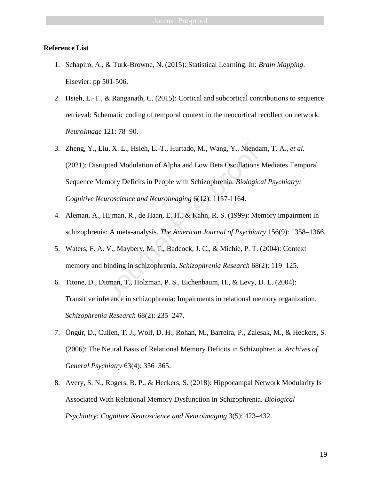# **Reference List**

- 1. Schapiro, A., & Turk-Browne, N. (2015): Statistical Learning. In: *Brain Mapping*. Elsevier: pp 501-506.
- 2. Hsieh, L.-T., & Ranganath, C. (2015): Cortical and subcortical contributions to sequence retrieval: Schematic coding of temporal context in the neocortical recollection network. *NeuroImage* 121: 78–90.
- 3. Zheng, Y., Liu, X. L., Hsieh, L.-T., Hurtado, M., Wang, Y., Niendam, T. A., *et al.* (2021): Disrupted Modulation of Alpha and Low Beta Oscillations Mediates Temporal Sequence Memory Deficits in People with Schizophrenia. *Biological Psychiatry: Cognitive Neuroscience and Neuroimaging* 6(12): 1157-1164. iu, X. L., Hsieh, L.-T., Hurtado, M., Wang, Y., Nienda<br>upted Modulation of Alpha and Low Beta Oscillations<br>emory Deficits in People with Schizophrenia. *Biologic*<br>euroscience and Neuroimaging 6(12): 1157-1164.<br>Hijman, R.,
- 4. Aleman, A., Hijman, R., de Haan, E. H., & Kahn, R. S. (1999): Memory impairment in schizophrenia: A meta-analysis. *The American Journal of Psychiatry* 156(9): 1358–1366.
- 5. Waters, F. A. V., Maybery, M. T., Badcock, J. C., & Michie, P. T. (2004): Context memory and binding in schizophrenia. *Schizophrenia Research* 68(2): 119–125.
- 6. Titone, D., Ditman, T., Holzman, P. S., Eichenbaum, H., & Levy, D. L. (2004): Transitive inference in schizophrenia: Impairments in relational memory organization. *Schizophrenia Research* 68(2): 235–247.
- 7. Öngür, D., Cullen, T. J., Wolf, D. H., Rohan, M., Barreira, P., Zalesak, M., & Heckers, S. (2006): The Neural Basis of Relational Memory Deficits in Schizophrenia. *Archives of General Psychiatry* 63(4): 356–365.
- 8. Avery, S. N., Rogers, B. P., & Heckers, S. (2018): Hippocampal Network Modularity Is Associated With Relational Memory Dysfunction in Schizophrenia. *Biological Psychiatry: Cognitive Neuroscience and Neuroimaging* 3(5): 423–432.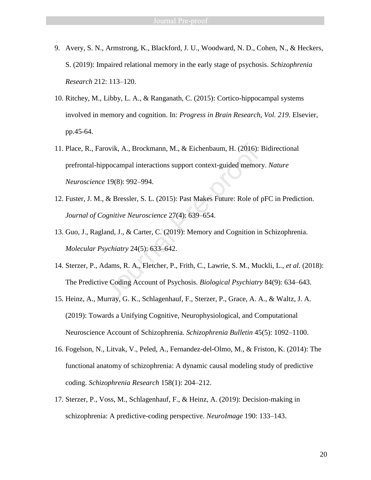- 9. Avery, S. N., Armstrong, K., Blackford, J. U., Woodward, N. D., Cohen, N., & Heckers, S. (2019): Impaired relational memory in the early stage of psychosis. *Schizophrenia Research* 212: 113–120.
- 10. Ritchey, M., Libby, L. A., & Ranganath, C. (2015): Cortico-hippocampal systems involved in memory and cognition. In: *Progress in Brain Research*, *Vol. 219*. Elsevier, pp.45-64.
- 11. Place, R., Farovik, A., Brockmann, M., & Eichenbaum, H. (2016): Bidirectional prefrontal-hippocampal interactions support context-guided memory. *Nature Neuroscience* 19(8): 992–994. rovik, A., Brockmann, M., & Eichenbaum, H. (2016):<br>ppocampal interactions support context-guided memor<br>e 19(8): 992–994.<br>, & Bressler, S. L. (2015): Past Makes Future: Role of<br>*ognitive Neuroscience* 27(4): 639–654.<br>land,
- 12. Fuster, J. M., & Bressler, S. L. (2015): Past Makes Future: Role of pFC in Prediction. *Journal of Cognitive Neuroscience* 27(4): 639–654.
- 13. Guo, J., Ragland, J., & Carter, C. (2019): Memory and Cognition in Schizophrenia. *Molecular Psychiatry* 24(5): 633–642.
- 14. Sterzer, P., Adams, R. A., Fletcher, P., Frith, C., Lawrie, S. M., Muckli, L., *et al.* (2018): The Predictive Coding Account of Psychosis. *Biological Psychiatry* 84(9): 634–643.
- 15. Heinz, A., Murray, G. K., Schlagenhauf, F., Sterzer, P., Grace, A. A., & Waltz, J. A. (2019): Towards a Unifying Cognitive, Neurophysiological, and Computational Neuroscience Account of Schizophrenia. *Schizophrenia Bulletin* 45(5): 1092–1100.
- 16. Fogelson, N., Litvak, V., Peled, A., Fernandez-del-Olmo, M., & Friston, K. (2014): The functional anatomy of schizophrenia: A dynamic causal modeling study of predictive coding. *Schizophrenia Research* 158(1): 204–212.
- 17. Sterzer, P., Voss, M., Schlagenhauf, F., & Heinz, A. (2019): Decision-making in schizophrenia: A predictive-coding perspective. *NeuroImage* 190: 133–143.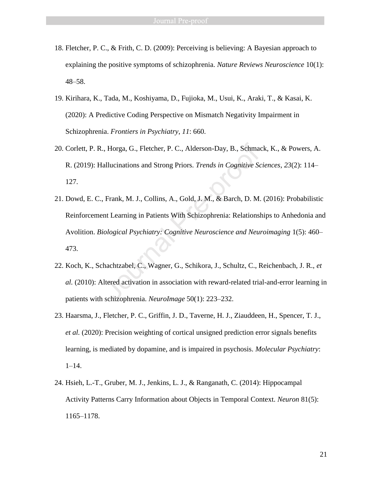- 18. Fletcher, P. C., & Frith, C. D. (2009): Perceiving is believing: A Bayesian approach to explaining the positive symptoms of schizophrenia. *Nature Reviews Neuroscience* 10(1): 48–58.
- 19. Kirihara, K., Tada, M., Koshiyama, D., Fujioka, M., Usui, K., Araki, T., & Kasai, K. (2020): A Predictive Coding Perspective on Mismatch Negativity Impairment in Schizophrenia. *Frontiers in Psychiatry*, *11*: 660.
- 20. Corlett, P. R., Horga, G., Fletcher, P. C., Alderson-Day, B., Schmack, K., & Powers, A. R. (2019): Hallucinations and Strong Priors. *Trends in Cognitive Sciences*, *23*(2): 114– 127.
- 21. Dowd, E. C., Frank, M. J., Collins, A., Gold, J. M., & Barch, D. M. (2016): Probabilistic Reinforcement Learning in Patients With Schizophrenia: Relationships to Anhedonia and Avolition. *Biological Psychiatry: Cognitive Neuroscience and Neuroimaging* 1(5): 460– 473. , Horga, G., Fletcher, P. C., Alderson-Day, B., Schma<br>allucinations and Strong Priors. *Trends in Cognitive Sc*<br>J. Frank, M. J., Collins, A., Gold, J. M., & Barch, D. M.<br>ant Learning in Patients With Schizophrenia: Relatio
- 22. Koch, K., Schachtzabel, C., Wagner, G., Schikora, J., Schultz, C., Reichenbach, J. R., *et al.* (2010): Altered activation in association with reward-related trial-and-error learning in patients with schizophrenia. *NeuroImage* 50(1): 223–232.
- 23. Haarsma, J., Fletcher, P. C., Griffin, J. D., Taverne, H. J., Ziauddeen, H., Spencer, T. J., *et al.* (2020): Precision weighting of cortical unsigned prediction error signals benefits learning, is mediated by dopamine, and is impaired in psychosis. *Molecular Psychiatry*: 1–14.
- 24. Hsieh, L.-T., Gruber, M. J., Jenkins, L. J., & Ranganath, C. (2014): Hippocampal Activity Patterns Carry Information about Objects in Temporal Context. *Neuron* 81(5): 1165–1178.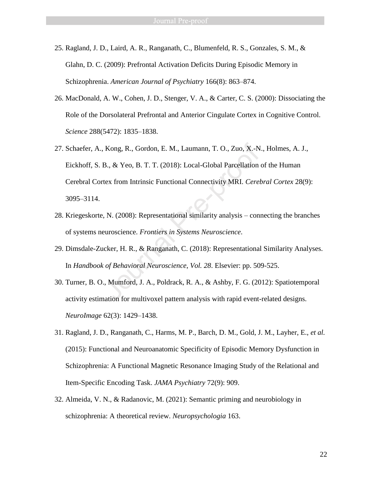- 25. Ragland, J. D., Laird, A. R., Ranganath, C., Blumenfeld, R. S., Gonzales, S. M., & Glahn, D. C. (2009): Prefrontal Activation Deficits During Episodic Memory in Schizophrenia. *American Journal of Psychiatry* 166(8): 863–874.
- 26. MacDonald, A. W., Cohen, J. D., Stenger, V. A., & Carter, C. S. (2000): Dissociating the Role of the Dorsolateral Prefrontal and Anterior Cingulate Cortex in Cognitive Control. *Science* 288(5472): 1835–1838.
- 27. Schaefer, A., Kong, R., Gordon, E. M., Laumann, T. O., Zuo, X.-N., Holmes, A. J., Eickhoff, S. B., & Yeo, B. T. T. (2018): Local-Global Parcellation of the Human Cerebral Cortex from Intrinsic Functional Connectivity MRI. *Cerebral Cortex* 28(9): 3095–3114. Kong, R., Gordon, E. M., Laumann, T. O., Zuo, X.-N<br>
B., & Yeo, B. T. T. (2018): Local-Global Parcellation<br>
tex from Intrinsic Functional Connectivity MRI. *Cerel*<br>
tex from Intrinsic Functional Connectivity MRI. *Cerel*<br>
.
- 28. Kriegeskorte, N. (2008): Representational similarity analysis connecting the branches of systems neuroscience. *Frontiers in Systems Neuroscience*.
- 29. Dimsdale-Zucker, H. R., & Ranganath, C. (2018): Representational Similarity Analyses. In *Handbook of Behavioral Neuroscience*, *Vol. 28*. Elsevier: pp. 509-525.
- 30. Turner, B. O., Mumford, J. A., Poldrack, R. A., & Ashby, F. G. (2012): Spatiotemporal activity estimation for multivoxel pattern analysis with rapid event-related designs. *NeuroImage* 62(3): 1429–1438.
- 31. Ragland, J. D., Ranganath, C., Harms, M. P., Barch, D. M., Gold, J. M., Layher, E., *et al.* (2015): Functional and Neuroanatomic Specificity of Episodic Memory Dysfunction in Schizophrenia: A Functional Magnetic Resonance Imaging Study of the Relational and Item-Specific Encoding Task. *JAMA Psychiatry* 72(9): 909.
- 32. Almeida, V. N., & Radanovic, M. (2021): Semantic priming and neurobiology in schizophrenia: A theoretical review. *Neuropsychologia* 163.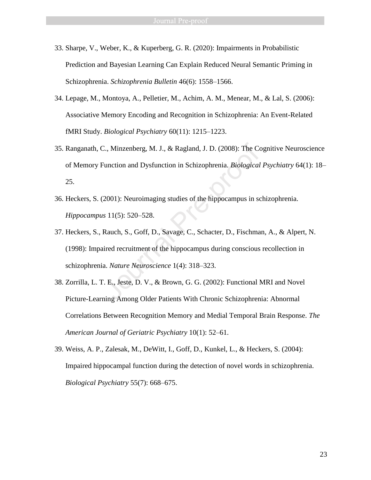- 33. Sharpe, V., Weber, K., & Kuperberg, G. R. (2020): Impairments in Probabilistic Prediction and Bayesian Learning Can Explain Reduced Neural Semantic Priming in Schizophrenia. *Schizophrenia Bulletin* 46(6): 1558–1566.
- 34. Lepage, M., Montoya, A., Pelletier, M., Achim, A. M., Menear, M., & Lal, S. (2006): Associative Memory Encoding and Recognition in Schizophrenia: An Event-Related fMRI Study. *Biological Psychiatry* 60(11): 1215–1223.
- 35. Ranganath, C., Minzenberg, M. J., & Ragland, J. D. (2008): The Cognitive Neuroscience of Memory Function and Dysfunction in Schizophrenia. *Biological Psychiatry* 64(1): 18– 25.
- 36. Heckers, S. (2001): Neuroimaging studies of the hippocampus in schizophrenia. *Hippocampus* 11(5): 520–528.
- 37. Heckers, S., Rauch, S., Goff, D., Savage, C., Schacter, D., Fischman, A., & Alpert, N. (1998): Impaired recruitment of the hippocampus during conscious recollection in schizophrenia. *Nature Neuroscience* 1(4): 318–323. C., Minzenberg, M. J., & Ragland, J. D. (2008): The Contraction and Dysfunction in Schizophrenia. *Biological*<br>
Punction and Dysfunction in Schizophrenia. *Biological*<br>
(2001): Neuroimaging studies of the hippocampus in se
- 38. Zorrilla, L. T. E., Jeste, D. V., & Brown, G. G. (2002): Functional MRI and Novel Picture-Learning Among Older Patients With Chronic Schizophrenia: Abnormal Correlations Between Recognition Memory and Medial Temporal Brain Response. *The American Journal of Geriatric Psychiatry* 10(1): 52–61.
- 39. Weiss, A. P., Zalesak, M., DeWitt, I., Goff, D., Kunkel, L., & Heckers, S. (2004): Impaired hippocampal function during the detection of novel words in schizophrenia. *Biological Psychiatry* 55(7): 668–675.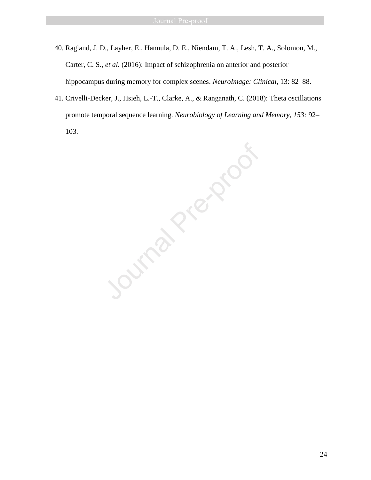- 40. Ragland, J. D., Layher, E., Hannula, D. E., Niendam, T. A., Lesh, T. A., Solomon, M., Carter, C. S., *et al.* (2016): Impact of schizophrenia on anterior and posterior hippocampus during memory for complex scenes. *NeuroImage: Clinical*, 13: 82–88.
- 41. Crivelli-Decker, J., Hsieh, L.-T., Clarke, A., & Ranganath, C. (2018): Theta oscillations promote temporal sequence learning. *Neurobiology of Learning and Memory*, *153:* 92– 103.

Journal Pre-proof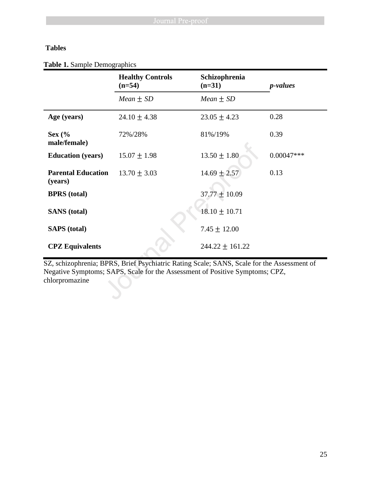# **Tables**

# **Table 1.** Sample Demographics

|                                                                                                                                                                                              | <b>Healthy Controls</b><br>$(n=54)$ | Schizophrenia<br>$(n=31)$ | <i>p</i> -values |
|----------------------------------------------------------------------------------------------------------------------------------------------------------------------------------------------|-------------------------------------|---------------------------|------------------|
|                                                                                                                                                                                              | $Mean \pm SD$                       | Mean $\pm$ SD             |                  |
| Age (years)                                                                                                                                                                                  | $24.10 \pm 4.38$                    | $23.05 \pm 4.23$          | 0.28             |
| Sex $\frac{6}{6}$<br>male/female)                                                                                                                                                            | 72%/28%                             | 81%/19%                   | 0.39             |
| <b>Education</b> (years)                                                                                                                                                                     | $15.07 \pm 1.98$                    | $13.50 \pm 1.80$          | $0.00047***$     |
| <b>Parental Education</b><br>(years)                                                                                                                                                         | $13.70 \pm 3.03$                    | $14.69 \pm 2.57$          | 0.13             |
| <b>BPRS</b> (total)                                                                                                                                                                          |                                     | $37.77 \pm 10.09$         |                  |
| <b>SANS</b> (total)                                                                                                                                                                          |                                     | $18.10 \pm 10.71$         |                  |
| <b>SAPS</b> (total)                                                                                                                                                                          |                                     | $7.45 \pm 12.00$          |                  |
| <b>CPZ</b> Equivalents                                                                                                                                                                       |                                     | $244.22 \pm 161.22$       |                  |
| SZ, schizophrenia; BPRS, Brief Psychiatric Rating Scale; SANS, Scale for the Assessment of<br>Negative Symptoms; SAPS, Scale for the Assessment of Positive Symptoms; CPZ,<br>chlorpromazine |                                     |                           |                  |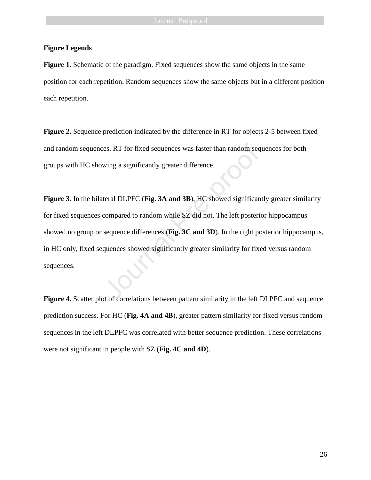## **Figure Legends**

**Figure 1.** Schematic of the paradigm. Fixed sequences show the same objects in the same position for each repetition. Random sequences show the same objects but in a different position each repetition.

**Figure 2.** Sequence prediction indicated by the difference in RT for objects 2-5 between fixed and random sequences. RT for fixed sequences was faster than random sequences for both groups with HC showing a significantly greater difference.

**Figure 3.** In the bilateral DLPFC (**Fig. 3A and 3B**), HC showed significantly greater similarity for fixed sequences compared to random while SZ did not. The left posterior hippocampus showed no group or sequence differences (**Fig. 3C and 3D**). In the right posterior hippocampus, in HC only, fixed sequences showed significantly greater similarity for fixed versus random sequences. es. RT for fixed sequences was faster than random seq<br>wing a significantly greater difference.<br>teral DLPFC (Fig. 3A and 3B), HC showed significan<br>compared to random while SZ did not. The left posteri<br>sequence differences (

**Figure 4.** Scatter plot of correlations between pattern similarity in the left DLPFC and sequence prediction success. For HC (**Fig. 4A and 4B**), greater pattern similarity for fixed versus random sequences in the left DLPFC was correlated with better sequence prediction. These correlations were not significant in people with SZ (**Fig. 4C and 4D**).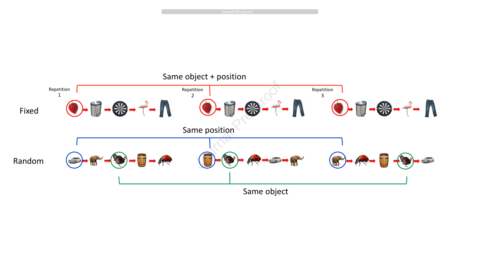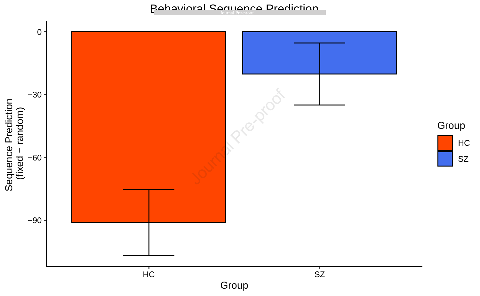#### Behavioral Sequence Prediction

 $0 \cdot$ on Arch −30 Sequence Prediction Sequence Prediction<br>(fixed - random) (fixed − random) Group HC  $-60-$ SZ −90 HC SZ Group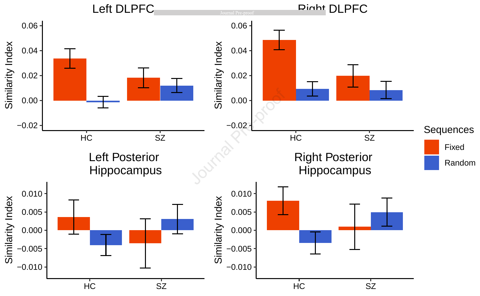